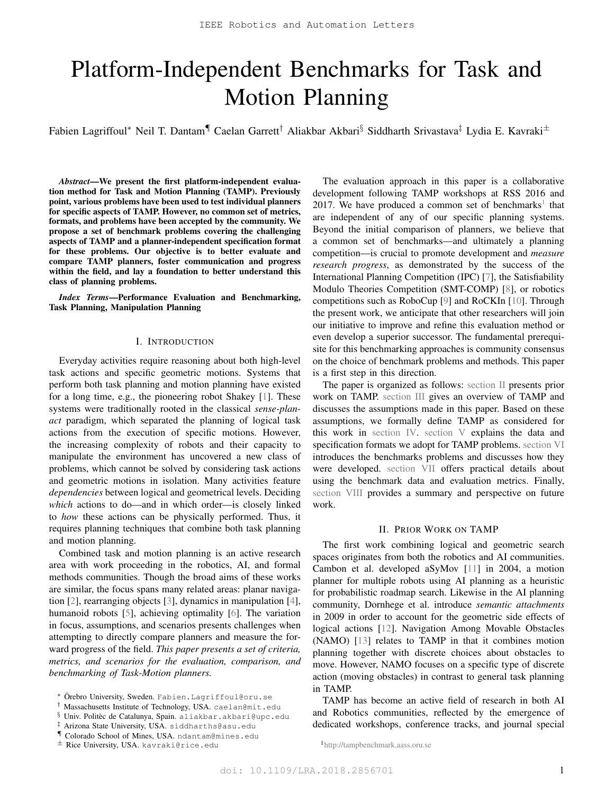# Platform-Independent Benchmarks for Task and Motion Planning

Fabien Lagriffoul<sup>∗</sup> Neil T. Dantam¶ Caelan Garrett† Aliakbar Akbari§ Siddharth Srivastava‡ Lydia E. Kavraki<sup>±</sup>

*Abstract*—We present the first platform-independent evaluation method for Task and Motion Planning (TAMP). Previously point, various problems have been used to test individual planners for specific aspects of TAMP. However, no common set of metrics, formats, and problems have been accepted by the community. We propose a set of benchmark problems covering the challenging aspects of TAMP and a planner-independent specification format for these problems. Our objective is to better evaluate and compare TAMP planners, foster communication and progress within the field, and lay a foundation to better understand this class of planning problems.

*Index Terms*—Performance Evaluation and Benchmarking, Task Planning, Manipulation Planning

# I. INTRODUCTION

Everyday activities require reasoning about both high-level task actions and specific geometric motions. Systems that perform both task planning and motion planning have existed for a long time, e.g., the pioneering robot Shakey [\[1\]](#page-6-0). These systems were traditionally rooted in the classical *sense-planact* paradigm, which separated the planning of logical task actions from the execution of specific motions. However, the increasing complexity of robots and their capacity to manipulate the environment has uncovered a new class of problems, which cannot be solved by considering task actions and geometric motions in isolation. Many activities feature *dependencies* between logical and geometrical levels. Deciding *which* actions to do—and in which order—is closely linked to *how* these actions can be physically performed. Thus, it requires planning techniques that combine both task planning and motion planning.

Combined task and motion planning is an active research area with work proceeding in the robotics, AI, and formal methods communities. Though the broad aims of these works are similar, the focus spans many related areas: planar navigation [\[2\]](#page-6-1), rearranging objects [\[3\]](#page-6-2), dynamics in manipulation [\[4\]](#page-6-3), humanoid robots [\[5\]](#page-6-4), achieving optimality [\[6\]](#page-6-5). The variation in focus, assumptions, and scenarios presents challenges when attempting to directly compare planners and measure the forward progress of the field. *This paper presents a set of criteria, metrics, and scenarios for the evaluation, comparison, and benchmarking of Task-Motion planners.*

<sup>∗</sup> Orebro University, Sweden. ¨ Fabien.Lagriffoul@oru.se

The evaluation approach in this paper is a collaborative development following TAMP workshops at RSS 2016 and 20[1](#page-0-0)7. We have produced a common set of benchmarks<sup>1</sup> that are independent of any of our specific planning systems. Beyond the initial comparison of planners, we believe that a common set of benchmarks—and ultimately a planning competition—is crucial to promote development and *measure research progress*, as demonstrated by the success of the International Planning Competition (IPC) [\[7\]](#page-7-0), the Satisfiability Modulo Theories Competition (SMT-COMP) [\[8\]](#page-7-1), or robotics competitions such as RoboCup [\[9\]](#page-7-2) and RoCKIn [\[10\]](#page-7-3). Through the present work, we anticipate that other researchers will join our initiative to improve and refine this evaluation method or even develop a superior successor. The fundamental prerequisite for this benchmarking approaches is community consensus on the choice of benchmark problems and methods. This paper is a first step in this direction.

The paper is organized as follows: [section II](#page-0-1) presents prior work on TAMP. [section III](#page-1-0) gives an overview of TAMP and discusses the assumptions made in this paper. Based on these assumptions, we formally define TAMP as considered for this work in [section IV.](#page-1-1) [section V](#page-3-0) explains the data and specification formats we adopt for TAMP problems. [section VI](#page-4-0) introduces the benchmarks problems and discusses how they were developed. [section VII](#page-6-6) offers practical details about using the benchmark data and evaluation metrics. Finally, [section VIII](#page-6-7) provides a summary and perspective on future work.

## II. PRIOR WORK ON TAMP

<span id="page-0-1"></span>The first work combining logical and geometric search spaces originates from both the robotics and AI communities. Cambon et al. developed aSyMov [\[11\]](#page-7-4) in 2004, a motion planner for multiple robots using AI planning as a heuristic for probabilistic roadmap search. Likewise in the AI planning community, Dornhege et al. introduce *semantic attachments* in 2009 in order to account for the geometric side effects of logical actions [\[12\]](#page-7-5). Navigation Among Movable Obstacles (NAMO) [\[13\]](#page-7-6) relates to TAMP in that it combines motion planning together with discrete choices about obstacles to move. However, NAMO focuses on a specific type of discrete action (moving obstacles) in contrast to general task planning in TAMP.

TAMP has become an active field of research in both AI and Robotics communities, reflected by the emergence of dedicated workshops, conference tracks, and journal special

<sup>†</sup> Massachusetts Institute of Technology, USA. caelan@mit.edu

<sup>§</sup> Univ. Politèc de Catalunya, Spain. aliakbar.akbari@upc.edu

<sup>‡</sup> Arizona State University, USA. siddharths@asu.edu

<sup>¶</sup> Colorado School of Mines, USA. ndantam@mines.edu

 $\pm$  Rice University, USA. kavraki@rice.edu

<span id="page-0-0"></span><sup>1</sup><http://tampbenchmark.aass.oru.se>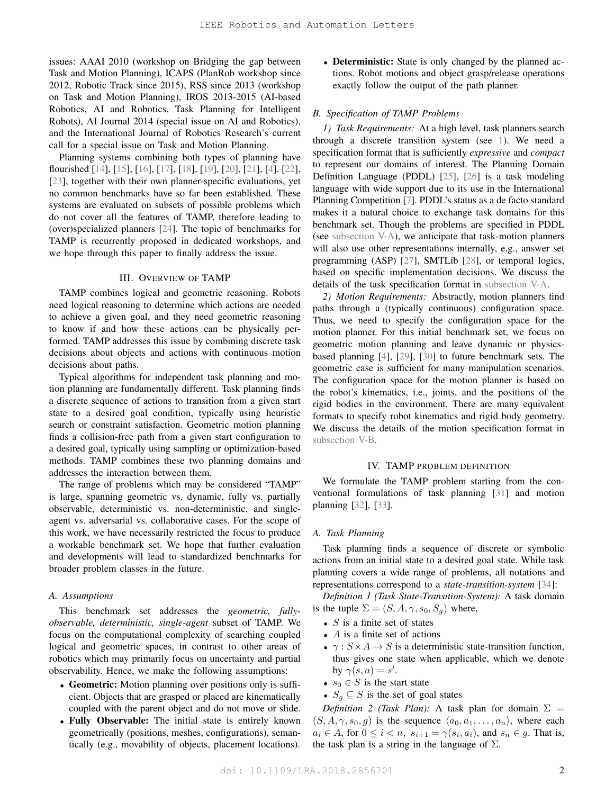issues: AAAI 2010 (workshop on Bridging the gap between Task and Motion Planning), ICAPS (PlanRob workshop since 2012, Robotic Track since 2015), RSS since 2013 (workshop on Task and Motion Planning), IROS 2013-2015 (AI-based Robotics, AI and Robotics, Task Planning for Intelligent Robots), AI Journal 2014 (special issue on AI and Robotics), and the International Journal of Robotics Research's current call for a special issue on Task and Motion Planning.

Planning systems combining both types of planning have flourished [\[14\]](#page-7-7), [\[15\]](#page-7-8), [\[16\]](#page-7-9), [\[17\]](#page-7-10), [\[18\]](#page-7-11), [\[19\]](#page-7-12), [\[20\]](#page-7-13), [\[21\]](#page-7-14), [\[4\]](#page-6-3), [\[22\]](#page-7-15), [\[23\]](#page-7-16), together with their own planner-specific evaluations, yet no common benchmarks have so far been established. These systems are evaluated on subsets of possible problems which do not cover all the features of TAMP, therefore leading to (over)specialized planners [\[24\]](#page-7-17). The topic of benchmarks for TAMP is recurrently proposed in dedicated workshops, and we hope through this paper to finally address the issue.

# III. OVERVIEW OF TAMP

<span id="page-1-0"></span>TAMP combines logical and geometric reasoning. Robots need logical reasoning to determine which actions are needed to achieve a given goal, and they need geometric reasoning to know if and how these actions can be physically performed. TAMP addresses this issue by combining discrete task decisions about objects and actions with continuous motion decisions about paths.

Typical algorithms for independent task planning and motion planning are fundamentally different. Task planning finds a discrete sequence of actions to transition from a given start state to a desired goal condition, typically using heuristic search or constraint satisfaction. Geometric motion planning finds a collision-free path from a given start configuration to a desired goal, typically using sampling or optimization-based methods. TAMP combines these two planning domains and addresses the interaction between them.

The range of problems which may be considered "TAMP" is large, spanning geometric vs. dynamic, fully vs. partially observable, deterministic vs. non-deterministic, and singleagent vs. adversarial vs. collaborative cases. For the scope of this work, we have necessarily restricted the focus to produce a workable benchmark set. We hope that further evaluation and developments will lead to standardized benchmarks for broader problem classes in the future.

# *A. Assumptions*

This benchmark set addresses the *geometric, fullyobservable, deterministic, single-agent* subset of TAMP. We focus on the computational complexity of searching coupled logical and geometric spaces, in contrast to other areas of robotics which may primarily focus on uncertainty and partial observability. Hence, we make the following assumptions:

- Geometric: Motion planning over positions only is sufficient. Objects that are grasped or placed are kinematically coupled with the parent object and do not move or slide.
- Fully Observable: The initial state is entirely known geometrically (positions, meshes, configurations), semantically (e.g., movability of objects, placement locations).

• Deterministic: State is only changed by the planned actions. Robot motions and object grasp/release operations exactly follow the output of the path planner.

## *B. Specification of TAMP Problems*

*1) Task Requirements:* At a high level, task planners search through a discrete transition system (see [1\)](#page-1-2). We need a specification format that is sufficiently *expressive* and *compact* to represent our domains of interest. The Planning Domain Definition Language (PDDL) [\[25\]](#page-7-18), [\[26\]](#page-7-19) is a task modeling language with wide support due to its use in the International Planning Competition [\[7\]](#page-7-0). PDDL's status as a de facto standard makes it a natural choice to exchange task domains for this benchmark set. Though the problems are specified in PDDL (see [subsection V-A\)](#page-3-1), we anticipate that task-motion planners will also use other representations internally, e.g., answer set programming (ASP) [\[27\]](#page-7-20), SMTLib [\[28\]](#page-7-21), or temporal logics, based on specific implementation decisions. We discuss the details of the task specification format in [subsection V-A.](#page-3-1)

*2) Motion Requirements:* Abstractly, motion planners find paths through a (typically continuous) configuration space. Thus, we need to specify the configuration space for the motion planner. For this initial benchmark set, we focus on geometric motion planning and leave dynamic or physicsbased planning [\[4\]](#page-6-3), [\[29\]](#page-7-22), [\[30\]](#page-7-23) to future benchmark sets. The geometric case is sufficient for many manipulation scenarios. The configuration space for the motion planner is based on the robot's kinematics, i.e., joints, and the positions of the rigid bodies in the environment. There are many equivalent formats to specify robot kinematics and rigid body geometry. We discuss the details of the motion specification format in [subsection V-B.](#page-3-2)

# IV. TAMP PROBLEM DEFINITION

<span id="page-1-1"></span>We formulate the TAMP problem starting from the conventional formulations of task planning [\[31\]](#page-7-24) and motion planning [\[32\]](#page-7-25), [\[33\]](#page-7-26).

#### <span id="page-1-3"></span>*A. Task Planning*

Task planning finds a sequence of discrete or symbolic actions from an initial state to a desired goal state. While task planning covers a wide range of problems, all notations and representations correspond to a *state-transition-system* [\[34\]](#page-7-27):

<span id="page-1-2"></span>*Definition 1 (Task State-Transition-System):* A task domain is the tuple  $\Sigma = (S, A, \gamma, s_0, S_q)$  where,

- $S$  is a finite set of states
- $\bullet$  A is a finite set of actions
- $\gamma$ :  $S \times A \rightarrow S$  is a deterministic state-transition function, thus gives one state when applicable, which we denote by  $\gamma(s, a) = s'$ .
- $s_0 \in S$  is the start state
- $S_q \subseteq S$  is the set of goal states

*Definition 2 (Task Plan):* A task plan for domain  $\Sigma$  =  $(S, A, \gamma, s_0, g)$  is the sequence  $\langle a_0, a_1, \ldots, a_n \rangle$ , where each  $a_i \in A$ , for  $0 \leq i < n$ ,  $s_{i+1} = \gamma(s_i, a_i)$ , and  $s_n \in g$ . That is, the task plan is a string in the language of  $\Sigma$ .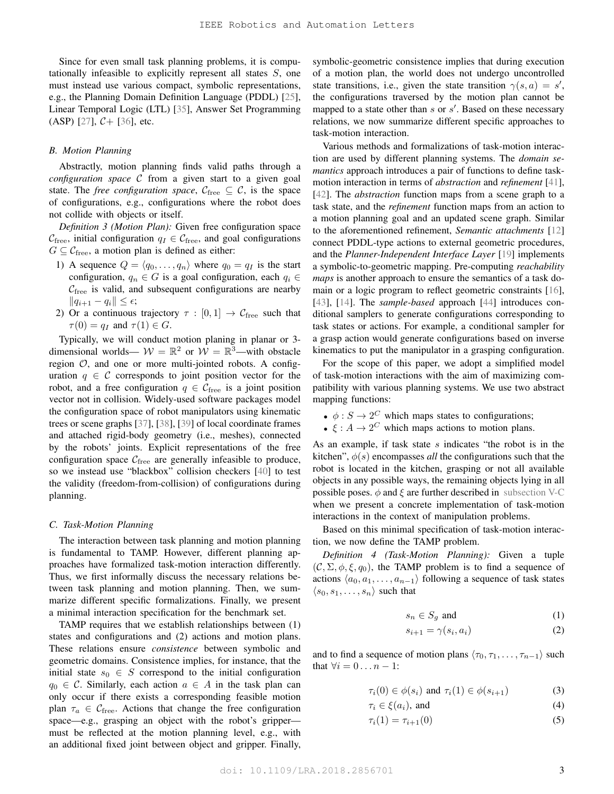Since for even small task planning problems, it is computationally infeasible to explicitly represent all states S, one must instead use various compact, symbolic representations, e.g., the Planning Domain Definition Language (PDDL) [\[25\]](#page-7-18), Linear Temporal Logic (LTL) [\[35\]](#page-7-28), Answer Set Programming (ASP) [\[27\]](#page-7-20),  $C+$  [\[36\]](#page-7-29), etc.

### <span id="page-2-0"></span>*B. Motion Planning*

Abstractly, motion planning finds valid paths through a *configuration space* C from a given start to a given goal state. The *free configuration space*,  $C_{\text{free}} \subseteq C$ , is the space of configurations, e.g., configurations where the robot does not collide with objects or itself.

*Definition 3 (Motion Plan):* Given free configuration space  $\mathcal{C}_{\text{free}}$ , initial configuration  $q_I \in \mathcal{C}_{\text{free}}$ , and goal configurations  $G \subseteq \mathcal{C}_{\text{free}}$ , a motion plan is defined as either:

- 1) A sequence  $Q = \langle q_0, \ldots, q_n \rangle$  where  $q_0 = q_I$  is the start configuration,  $q_n \in G$  is a goal configuration, each  $q_i \in$  $C_{\text{free}}$  is valid, and subsequent configurations are nearby  $||q_{i+1} - q_i|| \leq \epsilon;$
- 2) Or a continuous trajectory  $\tau : [0, 1] \rightarrow C_{\text{free}}$  such that  $\tau(0) = q_I$  and  $\tau(1) \in G$ .

Typically, we will conduct motion planing in planar or 3 dimensional worlds—  $W = \mathbb{R}^2$  or  $W = \mathbb{R}^3$ —with obstacle region  $O$ , and one or more multi-jointed robots. A configuration  $q \in \mathcal{C}$  corresponds to joint position vector for the robot, and a free configuration  $q \in \mathcal{C}_{\text{free}}$  is a joint position vector not in collision. Widely-used software packages model the configuration space of robot manipulators using kinematic trees or scene graphs [\[37\]](#page-7-30), [\[38\]](#page-7-31), [\[39\]](#page-7-32) of local coordinate frames and attached rigid-body geometry (i.e., meshes), connected by the robots' joints. Explicit representations of the free configuration space  $C_{\text{free}}$  are generally infeasible to produce, so we instead use "blackbox" collision checkers [\[40\]](#page-7-33) to test the validity (freedom-from-collision) of configurations during planning.

# <span id="page-2-1"></span>*C. Task-Motion Planning*

The interaction between task planning and motion planning is fundamental to TAMP. However, different planning approaches have formalized task-motion interaction differently. Thus, we first informally discuss the necessary relations between task planning and motion planning. Then, we summarize different specific formalizations. Finally, we present a minimal interaction specification for the benchmark set.

TAMP requires that we establish relationships between (1) states and configurations and (2) actions and motion plans. These relations ensure *consistence* between symbolic and geometric domains. Consistence implies, for instance, that the initial state  $s_0 \in S$  correspond to the initial configuration  $q_0 \in \mathcal{C}$ . Similarly, each action  $a \in A$  in the task plan can only occur if there exists a corresponding feasible motion plan  $\tau_a \in \mathcal{C}_{\text{free}}$ . Actions that change the free configuration space—e.g., grasping an object with the robot's gripper must be reflected at the motion planning level, e.g., with an additional fixed joint between object and gripper. Finally, symbolic-geometric consistence implies that during execution of a motion plan, the world does not undergo uncontrolled state transitions, i.e., given the state transition  $\gamma(s, a) = s'$ , the configurations traversed by the motion plan cannot be mapped to a state other than  $s$  or  $s'$ . Based on these necessary relations, we now summarize different specific approaches to task-motion interaction.

Various methods and formalizations of task-motion interaction are used by different planning systems. The *domain semantics* approach introduces a pair of functions to define taskmotion interaction in terms of *abstraction* and *refinement* [\[41\]](#page-7-34), [\[42\]](#page-7-35). The *abstraction* function maps from a scene graph to a task state, and the *refinement* function maps from an action to a motion planning goal and an updated scene graph. Similar to the aforementioned refinement, *Semantic attachments* [\[12\]](#page-7-5) connect PDDL-type actions to external geometric procedures, and the *Planner-Independent Interface Layer* [\[19\]](#page-7-12) implements a symbolic-to-geometric mapping. Pre-computing *reachability maps* is another approach to ensure the semantics of a task domain or a logic program to reflect geometric constraints [\[16\]](#page-7-9), [\[43\]](#page-7-36), [\[14\]](#page-7-7). The *sample-based* approach [\[44\]](#page-7-37) introduces conditional samplers to generate configurations corresponding to task states or actions. For example, a conditional sampler for a grasp action would generate configurations based on inverse kinematics to put the manipulator in a grasping configuration.

For the scope of this paper, we adopt a simplified model of task-motion interactions with the aim of maximizing compatibility with various planning systems. We use two abstract mapping functions:

- $\phi: S \to 2^C$  which maps states to configurations;
- $\xi : A \rightarrow 2^C$  which maps actions to motion plans.

As an example, if task state s indicates "the robot is in the kitchen",  $\phi(s)$  encompasses *all* the configurations such that the robot is located in the kitchen, grasping or not all available objects in any possible ways, the remaining objects lying in all possible poses.  $\phi$  and  $\xi$  are further described in [subsection V-C](#page-3-3) when we present a concrete implementation of task-motion interactions in the context of manipulation problems.

Based on this minimal specification of task-motion interaction, we now define the TAMP problem.

<span id="page-2-2"></span>*Definition 4 (Task-Motion Planning):* Given a tuple  $(C, \Sigma, \phi, \xi, q_0)$ , the TAMP problem is to find a sequence of actions  $\langle a_0, a_1, \ldots, a_{n-1} \rangle$  following a sequence of task states  $\langle s_0, s_1, \ldots, s_n \rangle$  such that

$$
s_n \in S_g \text{ and } (1)
$$

$$
s_{i+1} = \gamma(s_i, a_i) \tag{2}
$$

and to find a sequence of motion plans  $\langle \tau_0, \tau_1, \ldots, \tau_{n-1} \rangle$  such that  $\forall i = 0 \dots n-1$ :

$$
\tau_i(0) \in \phi(s_i) \text{ and } \tau_i(1) \in \phi(s_{i+1}) \tag{3}
$$

$$
\tau_i \in \xi(a_i), \text{ and } \tag{4}
$$

$$
\tau_i(1) = \tau_{i+1}(0) \tag{5}
$$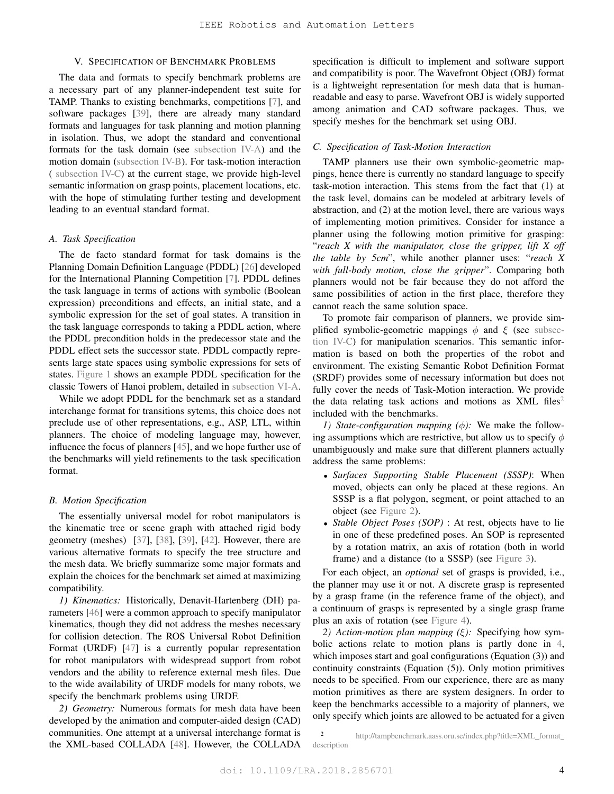## V. SPECIFICATION OF BENCHMARK PROBLEMS

<span id="page-3-0"></span>The data and formats to specify benchmark problems are a necessary part of any planner-independent test suite for TAMP. Thanks to existing benchmarks, competitions [\[7\]](#page-7-0), and software packages [\[39\]](#page-7-32), there are already many standard formats and languages for task planning and motion planning in isolation. Thus, we adopt the standard and conventional formats for the task domain (see [subsection IV-A\)](#page-1-3) and the motion domain [\(subsection IV-B\)](#page-2-0). For task-motion interaction ( [subsection IV-C\)](#page-2-1) at the current stage, we provide high-level semantic information on grasp points, placement locations, etc. with the hope of stimulating further testing and development leading to an eventual standard format.

#### <span id="page-3-1"></span>*A. Task Specification*

The de facto standard format for task domains is the Planning Domain Definition Language (PDDL) [\[26\]](#page-7-19) developed for the International Planning Competition [\[7\]](#page-7-0). PDDL defines the task language in terms of actions with symbolic (Boolean expression) preconditions and effects, an initial state, and a symbolic expression for the set of goal states. A transition in the task language corresponds to taking a PDDL action, where the PDDL precondition holds in the predecessor state and the PDDL effect sets the successor state. PDDL compactly represents large state spaces using symbolic expressions for sets of states. [Figure 1](#page-4-1) shows an example PDDL specification for the classic Towers of Hanoi problem, detailed in [subsection VI-A.](#page-4-2)

While we adopt PDDL for the benchmark set as a standard interchange format for transitions sytems, this choice does not preclude use of other representations, e.g., ASP, LTL, within planners. The choice of modeling language may, however, influence the focus of planners [\[45\]](#page-7-38), and we hope further use of the benchmarks will yield refinements to the task specification format.

## <span id="page-3-2"></span>*B. Motion Specification*

The essentially universal model for robot manipulators is the kinematic tree or scene graph with attached rigid body geometry (meshes) [\[37\]](#page-7-30), [\[38\]](#page-7-31), [\[39\]](#page-7-32), [\[42\]](#page-7-35). However, there are various alternative formats to specify the tree structure and the mesh data. We briefly summarize some major formats and explain the choices for the benchmark set aimed at maximizing compatibility.

*1) Kinematics:* Historically, Denavit-Hartenberg (DH) parameters [\[46\]](#page-7-39) were a common approach to specify manipulator kinematics, though they did not address the meshes necessary for collision detection. The ROS Universal Robot Definition Format (URDF) [\[47\]](#page-7-40) is a currently popular representation for robot manipulators with widespread support from robot vendors and the ability to reference external mesh files. Due to the wide availability of URDF models for many robots, we specify the benchmark problems using URDF.

*2) Geometry:* Numerous formats for mesh data have been developed by the animation and computer-aided design (CAD) communities. One attempt at a universal interchange format is the XML-based COLLADA [\[48\]](#page-7-41). However, the COLLADA specification is difficult to implement and software support and compatibility is poor. The Wavefront Object (OBJ) format is a lightweight representation for mesh data that is humanreadable and easy to parse. Wavefront OBJ is widely supported among animation and CAD software packages. Thus, we specify meshes for the benchmark set using OBJ.

#### <span id="page-3-3"></span>*C. Specification of Task-Motion Interaction*

TAMP planners use their own symbolic-geometric mappings, hence there is currently no standard language to specify task-motion interaction. This stems from the fact that (1) at the task level, domains can be modeled at arbitrary levels of abstraction, and (2) at the motion level, there are various ways of implementing motion primitives. Consider for instance a planner using the following motion primitive for grasping: "*reach X with the manipulator, close the gripper, lift X off the table by 5cm*", while another planner uses: "*reach X with full-body motion, close the gripper*". Comparing both planners would not be fair because they do not afford the same possibilities of action in the first place, therefore they cannot reach the same solution space.

To promote fair comparison of planners, we provide simplified symbolic-geometric mappings  $\phi$  and  $\xi$  (see [subsec](#page-2-1)[tion IV-C\)](#page-2-1) for manipulation scenarios. This semantic information is based on both the properties of the robot and environment. The existing Semantic Robot Definition Format (SRDF) provides some of necessary information but does not fully cover the needs of Task-Motion interaction. We provide the data relating task actions and motions as XML files<sup>[2](#page-3-4)</sup> included with the benchmarks.

*1) State-configuration mapping (*φ*):* We make the following assumptions which are restrictive, but allow us to specify  $\phi$ unambiguously and make sure that different planners actually address the same problems:

- *Surfaces Supporting Stable Placement (SSSP)*: When moved, objects can only be placed at these regions. An SSSP is a flat polygon, segment, or point attached to an object (see [Figure 2\)](#page-4-3).
- *Stable Object Poses (SOP)* : At rest, objects have to lie in one of these predefined poses. An SOP is represented by a rotation matrix, an axis of rotation (both in world frame) and a distance (to a SSSP) (see [Figure 3\)](#page-4-4).

For each object, an *optional* set of grasps is provided, i.e., the planner may use it or not. A discrete grasp is represented by a grasp frame (in the reference frame of the object), and a continuum of grasps is represented by a single grasp frame plus an axis of rotation (see [Figure 4\)](#page-4-5).

*2) Action-motion plan mapping (*ξ*):* Specifying how symbolic actions relate to motion plans is partly done in [4,](#page-2-2) which imposes start and goal configurations (Equation (3)) and continuity constraints (Equation (5)). Only motion primitives needs to be specified. From our experience, there are as many motion primitives as there are system designers. In order to keep the benchmarks accessible to a majority of planners, we only specify which joints are allowed to be actuated for a given

<span id="page-3-4"></span><sup>2</sup> [http://tampbenchmark.aass.oru.se/index.php?title=XML](http://tampbenchmark.aass.oru.se/index.php?title=XML_format_description) format [description](http://tampbenchmark.aass.oru.se/index.php?title=XML_format_description)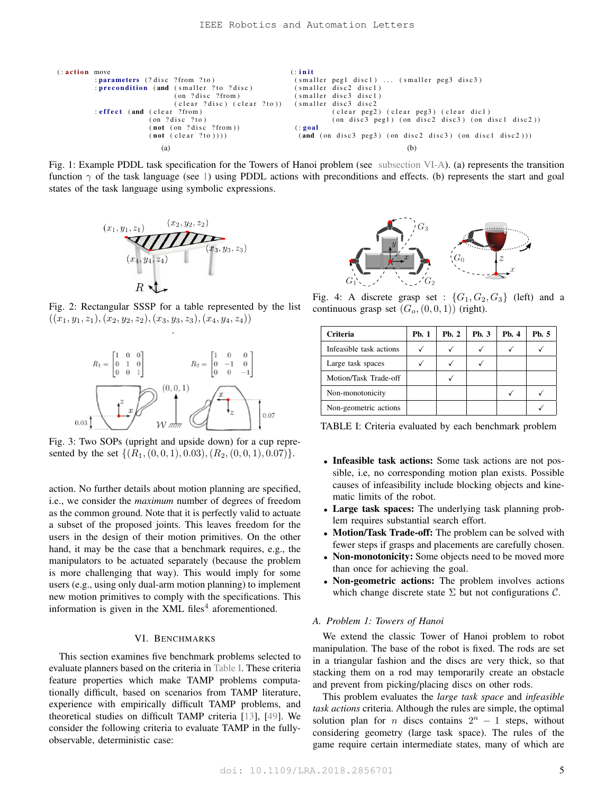<span id="page-4-1"></span>( : a c t i o n move : p ar ame ter s ( ? d i s c ? f rom ? t o ) : p r e c o n di ti o n ( and ( s m a l l e r ? t o ? d i s c ) ( on ? d i s c ? f rom ) ( c l e a r ? d i s c ) ( c l e a r ? t o ) ) : e f f e c t ( and ( c l e a r ? f rom ) ( on ? d i s c ? t o ) ( n o t ( on ? d i s c ? f rom ) ) ( n o t ( c l e a r ? t o ) ) ) ) (a) ( : i n i t ( s m a l l e r peg1 d i s c 1 ) . . . ( s m a l l e r peg3 d i s c 3 ) ( s m a l l e r d i s c 2 d i s c 1 ) ( s m a l l e r d i s c 3 d i s c 1 ) ( s m a l l e r d i s c 3 d i s c 2 ( c l e a r peg2 ) ( c l e a r peg3 ) ( c l e a r di c 1 ) ( on d i s c 3 peg1 ) ( on d i s c 2 d i s c 3 ) ( on d i s c 1 d i s c 2 ) ) ( : g o al ( and ( on d i s c 3 peg3 ) ( on d i s c 2 d i s c 3 ) ( on d i s c 1 d i s c 2 ) ) ) (b)

Fig. 1: Example PDDL task specification for the Towers of Hanoi problem (see [subsection VI-A\)](#page-4-2). (a) represents the transition function  $\gamma$  of the task language (see [1\)](#page-1-2) using PDDL actions with preconditions and effects. (b) represents the start and goal states of the task language using symbolic expressions.

<span id="page-4-3"></span>

Fig. 2: Rectangular SSSP for a table represented by the list  $((x_1,y_1,z_1),(x_2,y_2,z_2),(x_3,y_3,z_3),(x_4,y_4,z_4))$ .

<span id="page-4-4"></span>

Fig. 3: Two SOPs (upright and upside down) for a cup represented by the set  $\{(R_1,(0,0,1),0.03),(R_2,(0,0,1),0.07)\}.$ 

action. No further details about motion planning are specified, i.e., we consider the *maximum* number of degrees of freedom as the common ground. Note that it is perfectly valid to actuate a subset of the proposed joints. This leaves freedom for the users in the design of their motion primitives. On the other hand, it may be the case that a benchmark requires, e.g., the manipulators to be actuated separately (because the problem is more challenging that way). This would imply for some users (e.g., using only dual-arm motion planning) to implement new motion primitives to comply with the specifications. This information is given in the XML files $4$  aforementioned.

## VI. BENCHMARKS

<span id="page-4-0"></span>This section examines five benchmark problems selected to evaluate planners based on the criteria in [Table I.](#page-4-6) These criteria feature properties which make TAMP problems computationally difficult, based on scenarios from TAMP literature, experience with empirically difficult TAMP problems, and theoretical studies on difficult TAMP criteria [\[13\]](#page-7-6), [\[49\]](#page-7-42). We consider the following criteria to evaluate TAMP in the fullyobservable, deterministic case:

<span id="page-4-5"></span>

Fig. 4: A discrete grasp set :  ${G_1, G_2, G_3}$  (left) and a continuous grasp set  $(G_o, (0, 0, 1))$  (right).

<span id="page-4-6"></span>

| Criteria                | Pb. 1 | <b>Ph. 2</b> | Pb. 3 | Pb. 4 | Pb. 5 |
|-------------------------|-------|--------------|-------|-------|-------|
| Infeasible task actions |       |              |       |       |       |
| Large task spaces       |       |              |       |       |       |
| Motion/Task Trade-off   |       |              |       |       |       |
| Non-monotonicity        |       |              |       |       |       |
| Non-geometric actions   |       |              |       |       |       |

TABLE I: Criteria evaluated by each benchmark problem

- Infeasible task actions: Some task actions are not possible, i.e, no corresponding motion plan exists. Possible causes of infeasibility include blocking objects and kinematic limits of the robot.
- Large task spaces: The underlying task planning problem requires substantial search effort.
- Motion/Task Trade-off: The problem can be solved with fewer steps if grasps and placements are carefully chosen.
- Non-monotonicity: Some objects need to be moved more than once for achieving the goal.
- Non-geometric actions: The problem involves actions which change discrete state  $\Sigma$  but not configurations  $\mathcal{C}$ .

#### <span id="page-4-2"></span>*A. Problem 1: Towers of Hanoi*

We extend the classic Tower of Hanoi problem to robot manipulation. The base of the robot is fixed. The rods are set in a triangular fashion and the discs are very thick, so that stacking them on a rod may temporarily create an obstacle and prevent from picking/placing discs on other rods.

This problem evaluates the *large task space* and *infeasible task actions* criteria. Although the rules are simple, the optimal solution plan for *n* discs contains  $2^n - 1$  steps, without considering geometry (large task space). The rules of the game require certain intermediate states, many of which are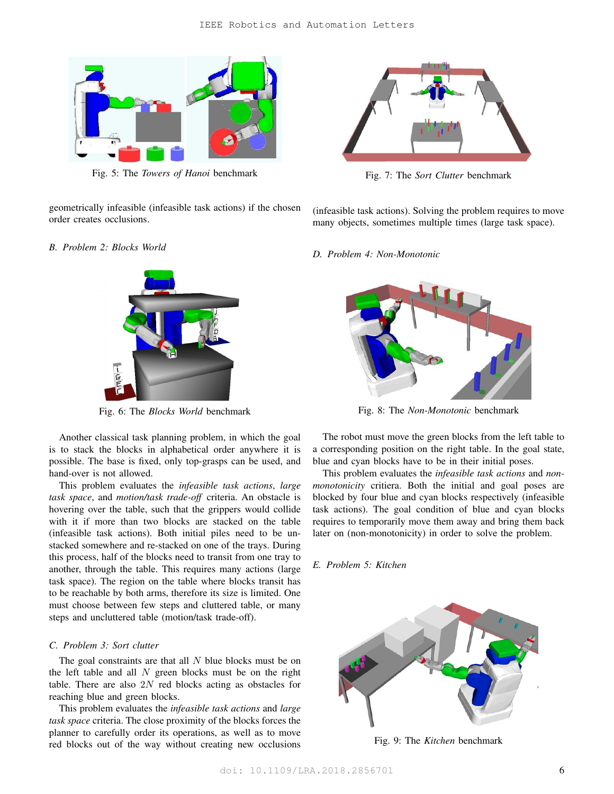

Fig. 5: The *Towers of Hanoi* benchmark

geometrically infeasible (infeasible task actions) if the chosen order creates occlusions.

<span id="page-5-0"></span>*B. Problem 2: Blocks World*



Fig. 6: The *Blocks World* benchmark

Another classical task planning problem, in which the goal is to stack the blocks in alphabetical order anywhere it is possible. The base is fixed, only top-grasps can be used, and hand-over is not allowed.

This problem evaluates the *infeasible task actions*, *large task space*, and *motion/task trade-off* criteria. An obstacle is hovering over the table, such that the grippers would collide with it if more than two blocks are stacked on the table (infeasible task actions). Both initial piles need to be unstacked somewhere and re-stacked on one of the trays. During this process, half of the blocks need to transit from one tray to another, through the table. This requires many actions (large task space). The region on the table where blocks transit has to be reachable by both arms, therefore its size is limited. One must choose between few steps and cluttered table, or many steps and uncluttered table (motion/task trade-off).

# *C. Problem 3: Sort clutter*

The goal constraints are that all  $N$  blue blocks must be on the left table and all  $N$  green blocks must be on the right table. There are also  $2N$  red blocks acting as obstacles for reaching blue and green blocks.

This problem evaluates the *infeasible task actions* and *large task space* criteria. The close proximity of the blocks forces the planner to carefully order its operations, as well as to move red blocks out of the way without creating new occlusions



Fig. 7: The *Sort Clutter* benchmark

(infeasible task actions). Solving the problem requires to move many objects, sometimes multiple times (large task space).

*D. Problem 4: Non-Monotonic*



Fig. 8: The *Non-Monotonic* benchmark

The robot must move the green blocks from the left table to a corresponding position on the right table. In the goal state, blue and cyan blocks have to be in their initial poses.

This problem evaluates the *infeasible task actions* and *nonmonotonicity* critiera. Both the initial and goal poses are blocked by four blue and cyan blocks respectively (infeasible task actions). The goal condition of blue and cyan blocks requires to temporarily move them away and bring them back later on (non-monotonicity) in order to solve the problem.

*E. Problem 5: Kitchen*



Fig. 9: The *Kitchen* benchmark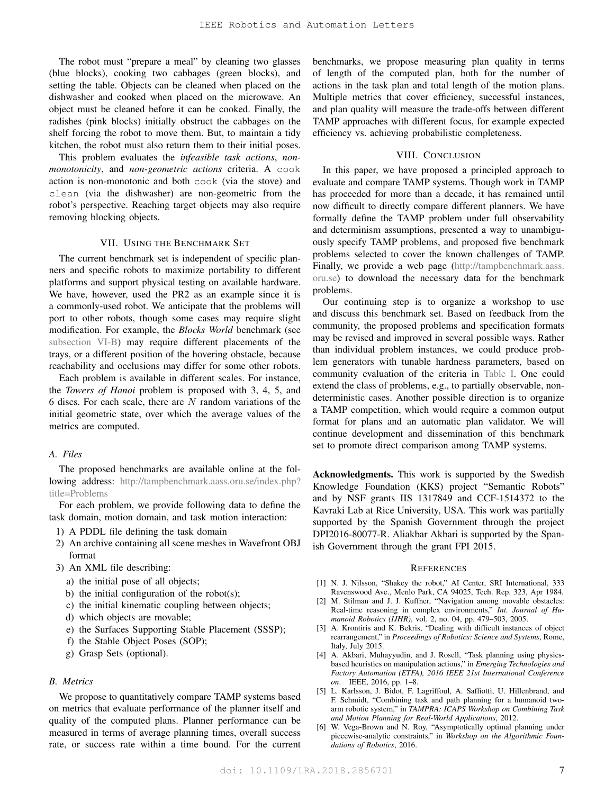The robot must "prepare a meal" by cleaning two glasses (blue blocks), cooking two cabbages (green blocks), and setting the table. Objects can be cleaned when placed on the dishwasher and cooked when placed on the microwave. An object must be cleaned before it can be cooked. Finally, the radishes (pink blocks) initially obstruct the cabbages on the shelf forcing the robot to move them. But, to maintain a tidy kitchen, the robot must also return them to their initial poses.

This problem evaluates the *infeasible task actions*, *nonmonotonicity*, and *non-geometric actions* criteria. A cook action is non-monotonic and both cook (via the stove) and clean (via the dishwasher) are non-geometric from the robot's perspective. Reaching target objects may also require removing blocking objects.

# VII. USING THE BENCHMARK SET

<span id="page-6-6"></span>The current benchmark set is independent of specific planners and specific robots to maximize portability to different platforms and support physical testing on available hardware. We have, however, used the PR2 as an example since it is a commonly-used robot. We anticipate that the problems will port to other robots, though some cases may require slight modification. For example, the *Blocks World* benchmark (see [subsection VI-B\)](#page-5-0) may require different placements of the trays, or a different position of the hovering obstacle, because reachability and occlusions may differ for some other robots.

Each problem is available in different scales. For instance, the *Towers of Hanoi* problem is proposed with 3, 4, 5, and 6 discs. For each scale, there are  $N$  random variations of the initial geometric state, over which the average values of the metrics are computed.

## *A. Files*

The proposed benchmarks are available online at the following address: [http://tampbenchmark.aass.oru.se/index.php?](http://tampbenchmark.aass.oru.se/index.php?title=Problems) [title=Problems](http://tampbenchmark.aass.oru.se/index.php?title=Problems)

For each problem, we provide following data to define the task domain, motion domain, and task motion interaction:

- 1) A PDDL file defining the task domain
- 2) An archive containing all scene meshes in Wavefront OBJ format
- 3) An XML file describing:
	- a) the initial pose of all objects;
	- b) the initial configuration of the robot $(s)$ ;
	- c) the initial kinematic coupling between objects;
	- d) which objects are movable;
	- e) the Surfaces Supporting Stable Placement (SSSP);
	- f) the Stable Object Poses (SOP);
	- g) Grasp Sets (optional).

# *B. Metrics*

We propose to quantitatively compare TAMP systems based on metrics that evaluate performance of the planner itself and quality of the computed plans. Planner performance can be measured in terms of average planning times, overall success rate, or success rate within a time bound. For the current benchmarks, we propose measuring plan quality in terms of length of the computed plan, both for the number of actions in the task plan and total length of the motion plans. Multiple metrics that cover efficiency, successful instances, and plan quality will measure the trade-offs between different TAMP approaches with different focus, for example expected efficiency vs. achieving probabilistic completeness.

### VIII. CONCLUSION

<span id="page-6-7"></span>In this paper, we have proposed a principled approach to evaluate and compare TAMP systems. Though work in TAMP has proceeded for more than a decade, it has remained until now difficult to directly compare different planners. We have formally define the TAMP problem under full observability and determinism assumptions, presented a way to unambiguously specify TAMP problems, and proposed five benchmark problems selected to cover the known challenges of TAMP. Finally, we provide a web page [\(http://tampbenchmark.aass.](http://tampbenchmark.aass.oru.se) [oru.se\)](http://tampbenchmark.aass.oru.se) to download the necessary data for the benchmark problems.

Our continuing step is to organize a workshop to use and discuss this benchmark set. Based on feedback from the community, the proposed problems and specification formats may be revised and improved in several possible ways. Rather than individual problem instances, we could produce problem generators with tunable hardness parameters, based on community evaluation of the criteria in [Table I.](#page-4-6) One could extend the class of problems, e.g., to partially observable, nondeterministic cases. Another possible direction is to organize a TAMP competition, which would require a common output format for plans and an automatic plan validator. We will continue development and dissemination of this benchmark set to promote direct comparison among TAMP systems.

Acknowledgments. This work is supported by the Swedish Knowledge Foundation (KKS) project "Semantic Robots" and by NSF grants IIS 1317849 and CCF-1514372 to the Kavraki Lab at Rice University, USA. This work was partially supported by the Spanish Government through the project DPI2016-80077-R. Aliakbar Akbari is supported by the Spanish Government through the grant FPI 2015.

## **REFERENCES**

- <span id="page-6-0"></span>[1] N. J. Nilsson, "Shakey the robot," AI Center, SRI International, 333 Ravenswood Ave., Menlo Park, CA 94025, Tech. Rep. 323, Apr 1984.
- <span id="page-6-1"></span>[2] M. Stilman and J. J. Kuffner, "Navigation among movable obstacles: Real-time reasoning in complex environments," *Int. Journal of Humanoid Robotics (IJHR)*, vol. 2, no. 04, pp. 479–503, 2005.
- <span id="page-6-2"></span>[3] A. Krontiris and K. Bekris, "Dealing with difficult instances of object rearrangement," in *Proceedings of Robotics: Science and Systems*, Rome, Italy, July 2015.
- <span id="page-6-3"></span>[4] A. Akbari, Muhayyudin, and J. Rosell, "Task planning using physicsbased heuristics on manipulation actions," in *Emerging Technologies and Factory Automation (ETFA), 2016 IEEE 21st International Conference on*. IEEE, 2016, pp. 1–8.
- <span id="page-6-4"></span>[5] L. Karlsson, J. Bidot, F. Lagriffoul, A. Saffiotti, U. Hillenbrand, and F. Schmidt, "Combining task and path planning for a humanoid twoarm robotic system," in *TAMPRA: ICAPS Workshop on Combining Task and Motion Planning for Real-World Applications*, 2012.
- <span id="page-6-5"></span>[6] W. Vega-Brown and N. Roy, "Asymptotically optimal planning under piecewise-analytic constraints," in *Workshop on the Algorithmic Foundations of Robotics*, 2016.